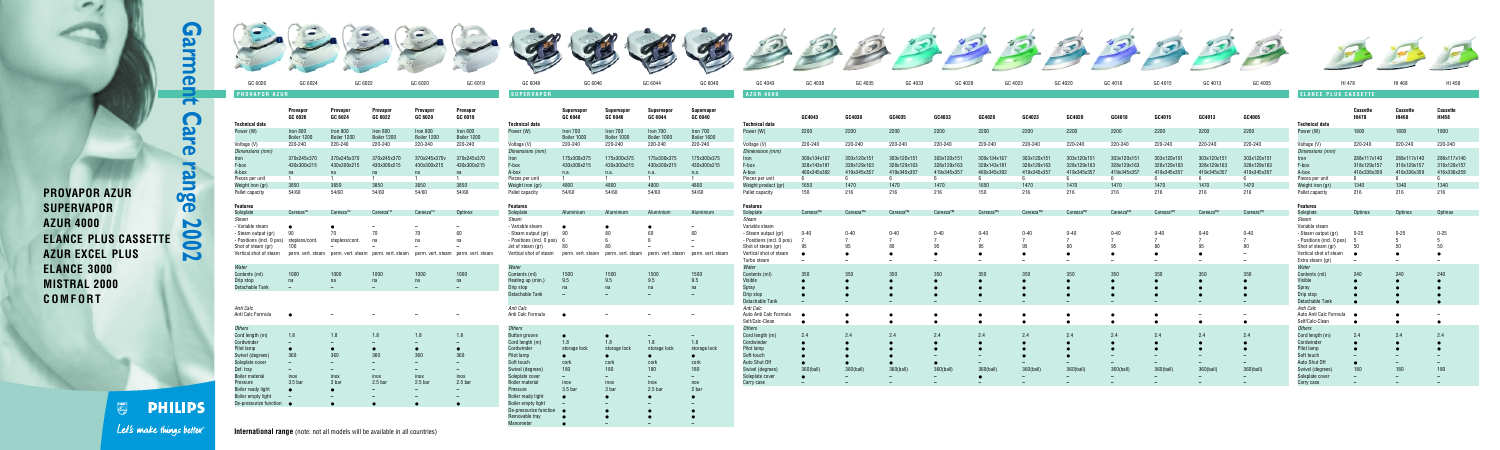| GC 6020             | GC 6019                             | GC 6048                                            | GC 6046               |                       | GC 6044                                               | GC 6040               | GC 4043                                          | GC 4038                | GC 4035                | GC 4033                | GC 4028     |             | GC 4023     | GC 4020     | GC 4018     | GC 4015     | GC 4013                  | GC 4005     |                                                  | HI 478                   | HI 468                   | HI 458                   |
|---------------------|-------------------------------------|----------------------------------------------------|-----------------------|-----------------------|-------------------------------------------------------|-----------------------|--------------------------------------------------|------------------------|------------------------|------------------------|-------------|-------------|-------------|-------------|-------------|-------------|--------------------------|-------------|--------------------------------------------------|--------------------------|--------------------------|--------------------------|
|                     |                                     | <b>SUPERVAPOR</b>                                  |                       |                       |                                                       |                       | <b>AZUR 4000</b>                                 |                        |                        |                        |             |             |             |             |             |             |                          |             | <b>ELANCE PLUS CASSETTE</b>                      |                          |                          |                          |
|                     |                                     |                                                    |                       |                       |                                                       |                       |                                                  |                        |                        |                        |             |             |             |             |             |             |                          |             |                                                  |                          |                          |                          |
| Provapor<br>GC 6020 | Provapor<br>GC 6019                 |                                                    | Supervapor<br>GC 6048 | Supervapor<br>GC 6046 | Supervapor<br>GC 6044                                 | Supervapor<br>GC 6040 |                                                  | GC4043                 | GC4038                 | GC4035                 | GC4033      | GC4028      | GC4023      | GC4020      | GC4018      | GC4015      | GC4013                   | GC4005      |                                                  | <b>Cassette</b><br>HI478 | <b>Cassette</b><br>HI468 | <b>Cassette</b><br>HI458 |
| Iron 800            | Iron 800                            | <b>Technical data</b><br>Power (W)                 | Iron 700              | Iron 700              | Iron 700                                              | Iron 700              | <b>Technical data</b><br>Power (W)               | 2200                   | 2200                   | 2200                   | 2200        | 2200        | 2200        | 2200        | 2200        | 2200        | 2200                     | 2200        | <b>Technical data</b><br>Power (W)               | 1800                     | 1800                     | 1800                     |
| Boiler 1200         | Boiler 1200                         |                                                    | Boiler 1000           | Boiler 1000           | Boiler 1000                                           | Boiler 1600           |                                                  |                        |                        |                        |             |             |             |             |             |             |                          |             |                                                  |                          |                          |                          |
| 220-240             | 220-240                             | Voltage (V)                                        | 220-240               | 220-240               | 220-240                                               | 220-240               | Voltage (V)                                      | 220-240                | 220-240                | 220-240                | 220-240     | 220-240     | 220-240     | 220-240     | 220-240     | 220-240     | 220-240                  | 220-240     | Voltage (V)                                      | 220-240                  | 220-240                  | 220-240                  |
| 370x245x370v        | 370x245x370                         | Dimensions (mm)                                    | 175x300x375           | 175x300x375           | 175x300x375                                           | 175x300x375           | Dimensions (mm)                                  | 309x134x167            | 303x120x151            | 303x120x151            | 303x120x151 | 309x134x167 | 303x120x151 | 303x120x151 | 303x120x151 | 303x120x151 | 303x120x151              | 303x120x151 | Dimensions (mm)                                  | 288x117x140              | 288x117x140              | 288x117x140              |
| 430x300x215         | 430x300x215                         | Iron<br>F-box                                      | 430x300x215           | 430x300x215           | 430x300x215                                           | 430x300x215           | Iron<br>F-box                                    | 328x143x181            | 328x129x163            | 328x129x163            | 328x129x163 | 328x143x181 | 328x129x163 | 328x129x163 | 328x129x163 | 328x129x163 | 328x129x163              | 328x129x163 | Iron<br>F-box                                    | 318x129x157              | 318x129x157              | 318x129x157              |
| na                  | na                                  | A-box                                              | n.a.                  | n.a.                  | n.a.                                                  | n.a.                  | A-box                                            | 460x345x392            | 419x345x357            | 419x345x357            | 419x345x357 | 460x345x392 | 419x345x357 | 419x345x357 | 419x345x357 | 419x345x357 | 419x345x357              | 419x345x357 | A-box                                            | 416x336x359              | 416x336x359              | 416x336x359              |
| $\mathbf{1}$        | $\overline{1}$                      | Pieces per unit                                    | $\overline{1}$        | $\blacksquare$        | $\overline{1}$                                        | $\sim$ 1              | Pieces per unit                                  |                        | 6                      | - 6                    | 6           | 6           |             | 6           |             | 6           | - 6                      | 6           | Pieces per unit                                  | - 6                      |                          | 6                        |
| 3850                | 3850                                | Weight iron (gr)                                   | 4800                  | 4800                  | 4800                                                  | 4800                  | Weight product (gr)                              | 1650                   | 1470                   | 1470                   | 1470        | 1650        | 1470        | 1470        | 1470        | 1470        | 1470                     | 1470        | Weight iron (gr)                                 | 1340                     | 1340                     | 1340                     |
| 54/60               | 54/60                               | Pallet capacity                                    | 54/60                 | 54/60                 | 54/60                                                 | 54/60                 | Pallet capacity                                  | 150                    | 216                    | 216                    | 216         | 150         | 216         | 216         | 216         | 216         | 216                      | 216         | Pallet capacity                                  | 216                      | 216                      | 216                      |
|                     |                                     | <b>Features</b>                                    |                       |                       |                                                       |                       | <b>Features</b>                                  |                        |                        |                        |             |             |             |             |             |             |                          |             | <b>Features</b>                                  |                          |                          |                          |
| Careeza™            | Optinox                             | Soleplate                                          | <b>Aluminium</b>      | Aluminium             | Aluminium                                             | Aluminium             | Soleplate                                        | Careeza™               | Careeza™               | Careeza™               | Careeza™    | Careeza™    | Careeza™    | Careeza™    | Careeza™    | Careeza™    | Careeza™                 | Careeza™    | Soleplate                                        | Optinox                  | Optinox                  | Optinox                  |
|                     |                                     | Steam                                              |                       |                       |                                                       |                       | Steam                                            |                        |                        |                        |             |             |             |             |             |             |                          |             | Steam                                            |                          |                          |                          |
|                     |                                     | - Variable steam                                   | - 90                  |                       | 60                                                    | 60                    | Variable steam                                   | $0 - 40$               | $0 - 40$               | $0 - 40$               | $0 - 40$    |             | $0 - 40$    |             | $0 - 40$    | $0 - 40$    | $0 - 40$                 |             | Variable steam                                   |                          |                          |                          |
|                     | na                                  | - Steam output (gr)<br>- Positions (incl. 0 pos) 6 |                       |                       |                                                       |                       | - Steam output (gr)<br>- Positions (incl. 0 pos) |                        |                        |                        |             | $0 - 40$    |             | $0 - 40$    |             |             |                          | $0 - 40$    | - Steam output (gr)<br>- Positions (incl. 0 pos) | 0-25<br>- 5              | $0 - 25$                 | $0 - 25$<br>Б.           |
|                     |                                     | Jet of steam (gr)                                  | - 80                  |                       |                                                       |                       | Shot of steam (gr)                               | 95                     | 95                     | 80                     | 95          | 95          |             |             |             | 80          |                          | 80          | Shot of steam (gr)                               | 50                       |                          |                          |
|                     | perm. vert. steam perm. vert. steam | Vertical shot of steam                             |                       |                       | perm. vert. steam perm. vert. steam perm. vert. steam | perm. vert. steam     | Vertical shot of steam                           |                        | $\bullet$              |                        |             |             |             |             |             |             |                          |             | Vertical shot of steam                           | $\bullet$                |                          |                          |
|                     |                                     |                                                    |                       |                       |                                                       |                       | Turbo steam                                      |                        | $-$                    |                        |             |             |             |             |             |             |                          |             | Extra steam (gr)                                 | $\overline{\phantom{0}}$ |                          |                          |
|                     |                                     | Water                                              |                       |                       |                                                       |                       | Water                                            |                        |                        |                        |             |             |             |             |             |             |                          |             | Water                                            |                          |                          |                          |
| 1000<br>na          | 1000<br>na                          | Contents (ml)<br>-leating up (min.)                | 1500<br>9.5           | 1500<br>9.5           | 1500<br>9.5                                           | 1500<br>9.5           | Contents (ml)<br>Visible                         | 350                    | 350<br>$\bullet$       | 350                    | 350         | 350         | 350         | 350         | 350         | 350         | 350                      | 350         | Contents (ml)<br>Visible                         | 240                      | 240                      | 240                      |
|                     |                                     | Drip stop                                          | na                    | na                    | na                                                    | na                    | Spray                                            |                        |                        |                        |             |             |             |             |             |             |                          |             | Spray                                            |                          |                          |                          |
|                     |                                     | Detachable Tank                                    |                       |                       |                                                       |                       | Drip stop                                        |                        |                        |                        |             |             |             |             |             |             |                          |             | Drip stop                                        |                          |                          |                          |
|                     |                                     |                                                    |                       |                       |                                                       |                       | Detachable Tank                                  |                        |                        |                        |             |             |             |             |             |             |                          |             | Detachable Tank                                  |                          |                          |                          |
|                     |                                     | Anti Calc                                          |                       |                       |                                                       |                       | Anti Calc                                        |                        |                        |                        |             |             |             |             |             |             |                          |             | Anti Calc                                        |                          |                          |                          |
|                     |                                     | Anti Calc Formula                                  | $\bullet$             |                       |                                                       |                       | Auto Anti Calc Formula<br>Self/Calc-Clean        | $\bullet$<br>$\bullet$ | $\bullet$<br>$\bullet$ | $\bullet$<br>$\bullet$ |             | $\bullet$   |             |             |             | $\bullet$   | $\overline{\phantom{a}}$ | $\bullet$   | Auto Anti Calc Formula<br>Self/Calc-Clean        | $\bullet$                |                          |                          |
|                     |                                     | Others                                             |                       |                       |                                                       |                       | Others                                           |                        |                        |                        |             |             |             |             |             |             |                          |             | Others                                           |                          |                          |                          |
| 1.8                 | 1.8                                 | Button groove                                      | $\bullet$             |                       |                                                       |                       | Cord length (m)                                  | 2.4                    | 2.4                    | 2.4                    | 24          | 2.4         | 2.4         | 2.4         | 2.4         | 2.4         | 2.4                      | 2.4         | Cord length (m)                                  | 2.4                      | 24                       | 24                       |
|                     |                                     | Cord length (m)                                    | 1.8                   | 1.8                   | 1.8                                                   | 1.8                   | Cordwinder                                       |                        |                        |                        |             |             |             |             |             |             |                          |             | Cordwinder                                       |                          |                          |                          |
|                     |                                     | Cordwinder                                         | storage lock          | storage lock          | storage lock                                          | storage lock          | Pilot lamp                                       |                        |                        |                        |             |             |             |             |             |             |                          |             | Pilot lamp                                       |                          |                          |                          |
|                     |                                     | Pilot lamp                                         | $\bullet$             |                       |                                                       |                       | Soft touch                                       |                        |                        |                        |             |             |             |             |             |             |                          |             | Soft touch                                       |                          |                          |                          |
|                     |                                     | Soft touch                                         | cork<br>180           | cork<br>180           | cork<br>180                                           | cork<br>180           | Auto Shut Off<br>Swivel (degrees)                | 360(ball               | 360(ball               | 360(ball               | 360(ba      | 360(ball    | 360(bal     | 360(ball    | 360(ball    | 360(ball    | 360(ball                 | 360(bal     | Auto Shut Off<br>Swivel (degrees                 |                          |                          |                          |
| inox                | inox                                | Swivel (degrees)<br>Soleplate cover                |                       |                       |                                                       |                       | Soleplate cover                                  | $\bullet$              |                        |                        |             |             |             |             |             |             |                          |             | Soleplate cover                                  |                          |                          |                          |
| 2.5 <sub>b</sub>    | $2.5b$ ar                           | Boiler material                                    | inox                  | inox                  | inox                                                  | n                     | Carry case                                       |                        |                        |                        |             |             |             |             |             |             |                          |             | Carry case                                       |                          |                          |                          |
|                     |                                     | Pressure<br>with a concern which the test          | 3.5 bar               | 3 bar                 | 2.5 bar                                               | 2 bar                 |                                                  |                        |                        |                        |             |             |             |             |             |             |                          |             |                                                  |                          |                          |                          |



 $\overline{\phantom{a}}$ 

**PHILIPS**  $\begin{picture}(120,110) \put(0,0){\line(1,0){155}} \put(15,0){\line(1,0){155}} \put(15,0){\line(1,0){155}} \put(15,0){\line(1,0){155}} \put(15,0){\line(1,0){155}} \put(15,0){\line(1,0){155}} \put(15,0){\line(1,0){155}} \put(15,0){\line(1,0){155}} \put(15,0){\line(1,0){155}} \put(15,0){\line(1,0){155}} \put(15,0){\line(1,0){155$ Let's make things better.

| <u>umuu</u>            |              |              |              |                |
|------------------------|--------------|--------------|--------------|----------------|
| <b>Button groove</b>   |              |              |              |                |
| Cord length (m)        | 1.8          | 1.8          | 1.8          | $\mathbf{1}$   |
| Cordwinder             | storage lock | storage lock | storage lock | st             |
| Pilot lamp             | a            |              |              |                |
| Soft touch             | cork         | cork         | cork         | C              |
| Swivel (degrees)       | 180          | 180          | 180          | 1              |
| Soleplate cover        |              |              |              |                |
| <b>Boiler material</b> | inox         | inox         | inox         | $\mathsf{n}$   |
| Pressure               | $3.5b$ ar    | 3 bar        | $2.5b$ ar    | $\overline{2}$ |
| Boiler ready light     |              |              |              |                |
| Boiler empty light     |              |              |              |                |
| De-pressurize function |              |              |              |                |
| Removable tray         | $\bullet$    |              |              |                |
| Manometer              |              |              |              |                |
|                        |              |              |              |                |

**PROVAPOR AZUR**

**P9** 

E

 $\overline{\mathbf{D}}$ 

 $\overline{a}$ 

 $\bigcap$ 

9

 $\bullet$ 

|                  | Provapor<br>GC 6026 | Provapor<br>GC 6024 | <b>Provapor</b><br>GC 6022 | Provapor<br>GC 6020 | <b>Provapor</b><br>GC 6019 |
|------------------|---------------------|---------------------|----------------------------|---------------------|----------------------------|
| Technical data   |                     |                     |                            |                     |                            |
| Power (W)        | Iron 800            | Iron 800            | Iron 800                   | Iron 800            | Iron 800                   |
|                  | Boiler 1200         | Boiler 1200         | Boiler 1200                | Boiler 1200         | Boiler 1200                |
| Voltage (V)      | 220-240             | 220-240             | 220-240                    | 220-240             | 220-240                    |
| Dimensions (mm)  |                     |                     |                            |                     |                            |
| Iron             | 370x245x370         | 370x245x370         | 370x245x370                | 370x245x370y        | 370x245x370                |
| F-box            | 430x300x215         | 430x300x215         | 430x300x215                | 430x300x215         | 430x300x215                |
| A-box            | na                  | na                  | na                         | na                  | na                         |
| Pieces per unit  |                     |                     |                            |                     |                            |
| Weight iron (gr) | 3850                | 3850                | 3850                       | 3850                | 3850                       |
| Pallet capacity  | 54/60               | 54/60               | 54/60                      | 54/60               | 54/60                      |
| Features         |                     |                     |                            |                     |                            |

| <b>Features</b>           |                   |                |                                     |                       |                   |
|---------------------------|-------------------|----------------|-------------------------------------|-----------------------|-------------------|
| Soleplate                 | Careeza™          | Careeza™       | Careeza <sup>TM</sup>               | Careeza <sup>TM</sup> | Optinox           |
| Steam                     |                   |                |                                     |                       |                   |
| - Variable steam          |                   |                |                                     |                       |                   |
| - Steam output (gr)       | 90                | 70             | 70                                  | 70                    | 60                |
| - Positions (incl. 0 pos) | stepless/cont.    | stepless/cont. | na                                  | na                    | na                |
| Shot of steam (gr)        | 100               |                |                                     |                       |                   |
| Vertical shot of steam    | perm. vert. steam |                | perm. vert. steam perm. vert. steam | perm. vert. steam     | perm. vert. steam |



| Water                  |           |       |                  |                  |           |
|------------------------|-----------|-------|------------------|------------------|-----------|
| Contents (ml)          | 1000      | 1000  | 1000             | 1000             | 1000      |
| Drip stop              | na        | na    | na               | na               | na        |
| Detachable Tank        |           |       |                  |                  |           |
|                        |           |       |                  |                  |           |
|                        |           |       |                  |                  |           |
| Anti Calc              |           |       |                  |                  |           |
| Anti Calc Formula      |           |       |                  |                  |           |
|                        |           |       |                  |                  |           |
| <b>Others</b>          |           |       |                  |                  |           |
| Cord length (m)        | 1.8       | 1.8   | 1.8              | 1.8              | 1.8       |
| Cordwinder             |           |       |                  |                  |           |
| Pilot lamp             | ۰         |       |                  |                  | $\bullet$ |
| Swivel (degrees)       | 360       | 360   | 360              | 360              | 360       |
| Soleplate cover        |           |       |                  |                  |           |
| Def. tray              |           |       |                  |                  |           |
| <b>Boiler material</b> | inox      | inox  | inox             | inox             | inox      |
| Pressure               | $3.5b$ ar | 3 bar | 2.5 <sub>b</sub> | 2.5 <sub>b</sub> | $2.5b$ ar |
| Boiler ready light     | $\bullet$ |       |                  |                  |           |
| Boiler empty light     |           |       |                  |                  |           |
| De-pressurize function | $\bullet$ |       | D                |                  |           |